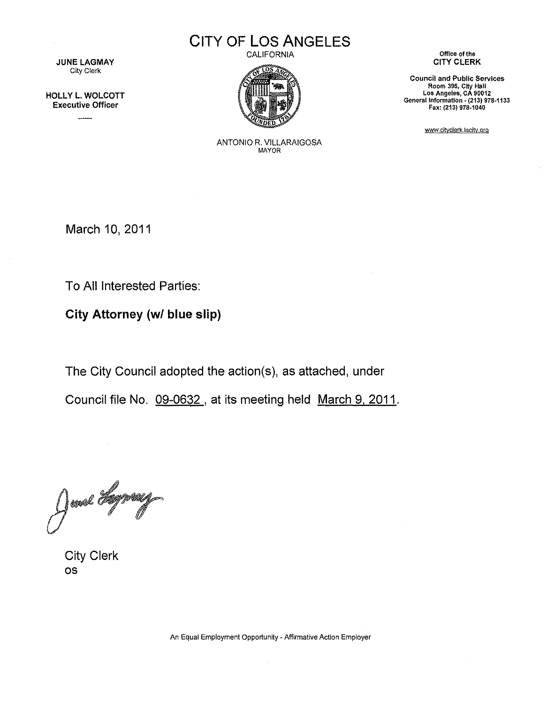# **CITY OF LOS ANGELES**

CALIFORNIA



**Office of the** CITY CLERK

**Council and Public Services Room 395, City Hall Los Angeles, CA 90012** General Information • **(213) 978·1133** Fax: (213) 978·1040

www.cityclerk.lacity.org

JUNE LAGMAY City Clerk

HOLLY L. WOLCOTT Executive Officer

> ANTONIO R. VILLARAIGOSA MAYOR

March 10, 2011

To All Interested Parties:

**City Attorney** *(wI* **blue slip)**

The City Council adopted the action(s), as attached, under

Council file No. 09-0632, at its meeting held March 9, 2011.

June Lymag

City Clerk os

**An Equal Employment Opportunity - Affirmative Action Employer**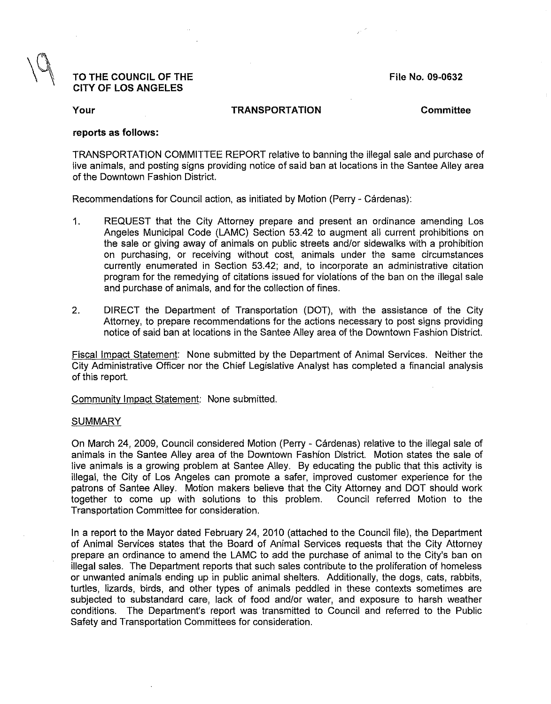# TO THE COUNCIL OF THE CITY OF LOS ANGELES

File No. 09-0632

Your **TRANSPORTATION** Committee

#### reports as follows:

TRANSPORTATION COMMITTEE REPORT relative to banning the illegal sale and purchase of live animals, and posting signs providing notice of said ban at locations in the Santee Alley area of the Downtown Fashion District.

Recommendations for Council action, as initiated by Motion (Perry - Cardenas):

- 1. REQUEST that the City Attorney prepare and present an ordinance amending Los Angeles Municipal Code (LAMC) Section 53.42 to augment all current prohibitions on the sale or giving away of animals on public streets and/or sidewalks with a prohibition on purchasing, or receiving without cost, animals under the same circumstances currently enumerated in Section 53.42; and, to incorporate an administrative citation program for the remedying of citations issued for violations of the ban on the illegal sale and purchase of animals, and for the collection of fines.
- 2. DIRECT the Department of Transportation (DOT), with the assistance of the City Attorney, to prepare recommendations for the actions necessary to post signs providing notice of said ban at locations in the Santee Alley area of the Downtown Fashion District.

Fiscal Impact Statement: None submitted by the Department of Animal Services. Neither the City Administrative Officer nor the Chief Legislative Analyst has completed a financial analysis of this report.

Community Impact Statement: None submitted.

#### SUMMARY

On March 24, 2009, Council considered Motion (Perry - Cardenas) relative to the illegal sale of animals in the Santee Alley area of the Downtown Fashion District. Motion states the sale of live animals is a growing problem at Santee Alley. By educating the public that this activity is illegal, the City of Los Angeles can promote a safer, improved customer experience for the patrons of Santee Alley. Motion makers believe that the City Attorney and DOT should work together to come up with solutions to this problem. Council referred Motion to the together to come up with solutions to this problem. Transportation Committee for consideration.

In a report to the Mayor dated February 24, 2010 (attached to the Council file), the Department of Animal Services states that the Board of Animal Services requests that the City Attorney prepare an ordinance to amend the LAMC to add the purchase of animal to the City's ban on illegal sales. The Department reports that such sales contribute to the proliferation of homeless or unwanted animals ending up in public animal shelters. Additionally, the dogs, cats, rabbits, turtles, lizards, birds, and other types of animals peddled in these contexts sometimes are subjected to substandard care, lack of food and/or water, and exposure to harsh weather conditions. The Department's report was transmitted to Council and referred to the Public Safety and Transportation Committees for consideration.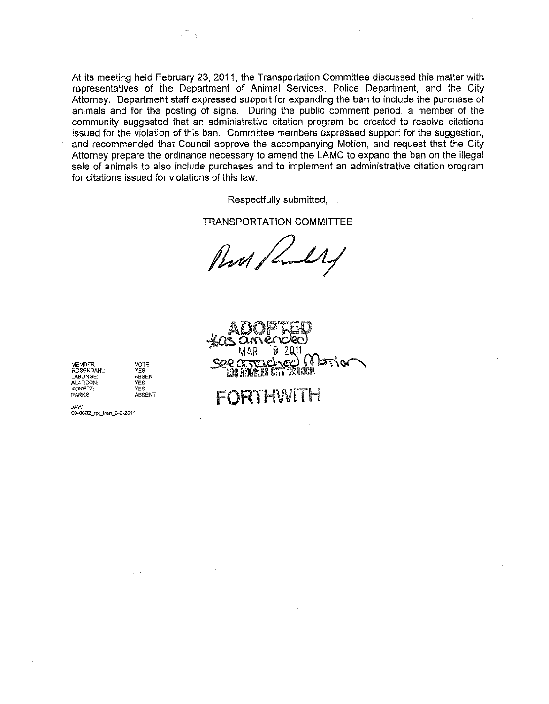At its meeting held February 23, 2011, the Transportation Committee discussed this matter with representatives of the Department of Animal Services, Police Department, and the City Attorney. Department staff expressed support for expanding the ban to include the purchase of animals and for the posting of signs. During the public comment period, a member of the community suggested that an administrative citation program be created to resolve citations issued for the violation of this ban. Committee members expressed support for the suggestion, and recommended that Council approve the accompanying Motion, and request that the City Attorney prepare the ordinance necessary to amend the LAMC to expand the ban on the illegal sale of animals to also include purchases and to implement an administrative citation program for citations issued for violations of this law.

Respectfully submitted,

TRANSPORTATION COMMITTEE

Pent,

€(  $\overline{\mathcal{L}}$ Ô.  $\lambda$  CM

FORTHWITH

**MEMBER**<br>ROSENDAHL: YES **ROSENDAHL: YES LABONGE: ABSENT ALARCON: YES PARKS:** 

**KORETZ: YES**

JAW **09-0632\_rpUran\_3-S.2011**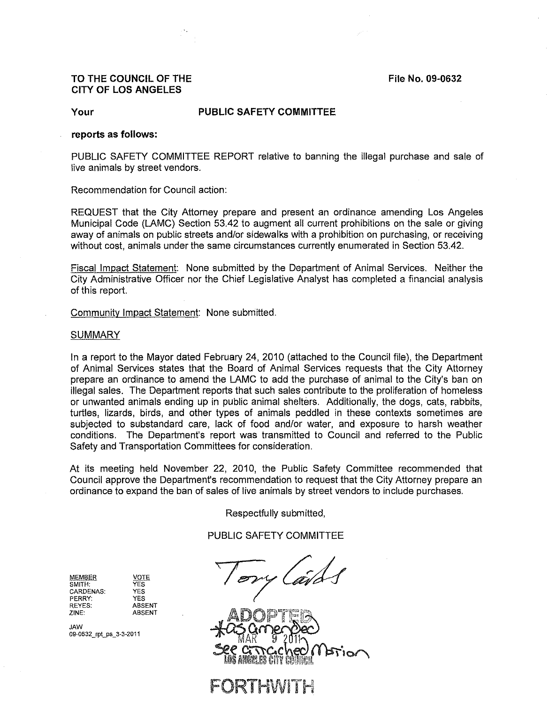## **TO THE COUNCIL OF THE File No. 09-0632 CITY OF LOS ANGELES**

### **Your PUBLIC SAFETY COMMITTEE**

#### **reports as follows:**

PUBLIC **SAFETY COMMITTEE** REPORT relative to banning the illegal purchase and sale of live animals by street vendors.

Recommendation for Council action:

REQUEST that the City Attorney prepare and present an ordinance amending Los Angeles Municipal Code (LAMC) Section 53.42 to augment all current prohibitions on the sale or giving away of animals on public streets and/or sidewalks with a prohibition on purchasing, or receiving without cost, animals under the same circumstances currently enumerated in Section 53.42.

Fiscal Impact Statement: None submitted by the Department of Animal Services. Neither the City Administrative Officer nor the Chief Legislative Analyst has completed a financial analysis of this report.

Community Impact Statement: None submitted.

#### **SUMMARY**

In a report to the Mayor dated February 24, 2010 (attached to the Council file), the Department of Animal Services states that the Board of Animal Services requests that the City Attorney prepare an ordinance to amend the LAMC to add the purchase of animal to the City's ban on illegal sales. The Department reports that such sales contribute to the proliferation of homeless or unwanted animals ending up in public animal shelters. Additionally, the dogs, cats, rabbits, turtles, lizards, birds, and other types of animals peddled in these contexts sometimes are subjected to substandard care, lack of food and/or water, and exposure to harsh weather conditions. The Department's report was transmitted to Council and referred to the Public Safety and Transportation Committees for consideration.

At its meeting held November 22, 2010, the Public Safety Committee recommended that Council approve the Department's recommendation to request that the City Attorney prepare an ordinance to expand the ban of sales of live animals by street vendors to include purchases.

Respectfully submitted,

PUBLIC SAFETY COMMITTEE

| MEMBER    |  |
|-----------|--|
| SMITH:    |  |
| CARDENAS: |  |
| PFRRY:    |  |
| REYES:    |  |
| ZINE:     |  |

**VOTE** YES YES YES ABSENT ABSENT

**09-0632 \_rpCps\_3-3.2011**

Tory Cards

REYES:<br>ZINE: ABSENT<br>JAW<br>09-0632\_pt\_ps\_3-3-2011<br>**EXECTTCCheOMSTio** 

**JRTHWIT**